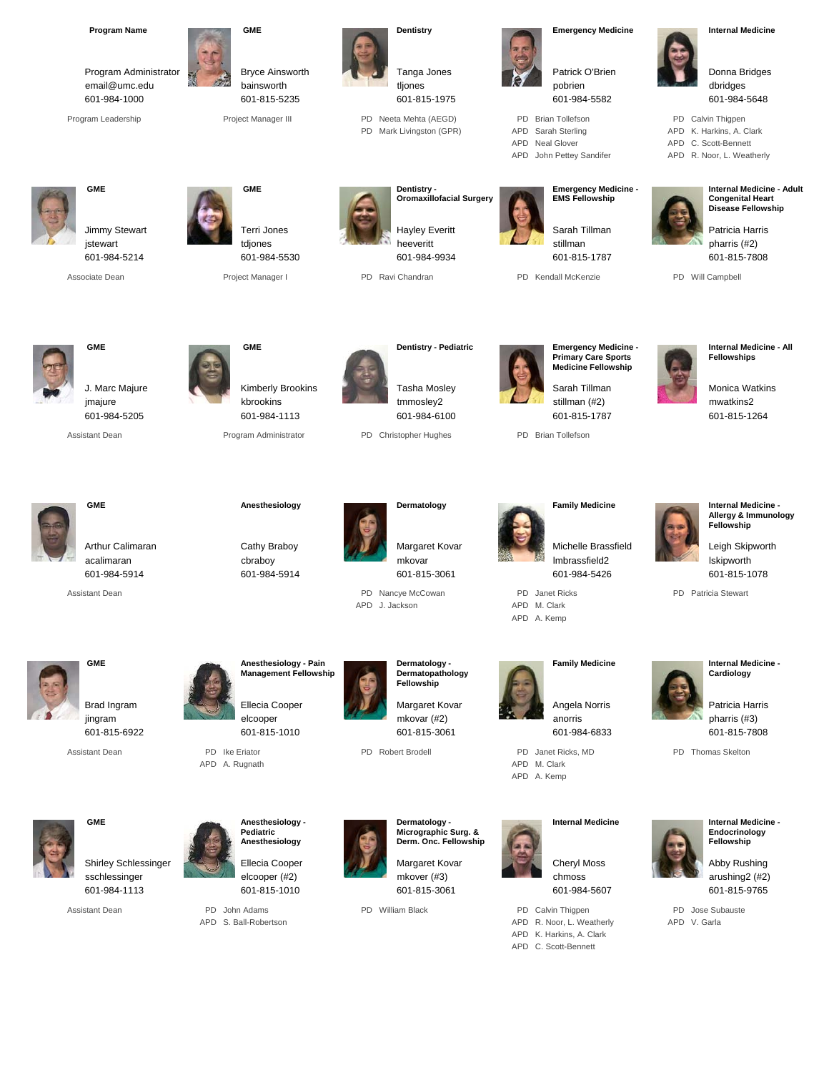| <b>Program Name</b><br>Program Administrator<br>email@umc.edu<br>601-984-1000<br>Program Leadership |                                  | <b>GME</b><br><b>Bryce Ainsworth</b><br>bainsworth<br>601-815-5235<br>Project Manager III                                   |     | Dentistry<br>Tanga Jones<br>tljones<br>601-815-1975<br>PD Neeta Mehta (AEGD)<br>PD Mark Livingston (GPR)                            | PD.<br>APD<br>APD                    | <b>Emergency Medicine</b><br>Patrick O'Brien<br>pobrien<br>601-984-5582<br><b>Brian Tollefson</b><br>Sarah Sterling<br>Neal Glover<br>APD John Pettey Sandifer                 | APD<br>APD   | <b>Internal Medicine</b><br>Donna Bridges<br>dbridges<br>601-984-5648<br>PD Calvin Thigpen<br>K. Harkins, A. Clark<br>C. Scott-Bennett<br>APD R. Noor, L. Weatherly |
|-----------------------------------------------------------------------------------------------------|----------------------------------|-----------------------------------------------------------------------------------------------------------------------------|-----|-------------------------------------------------------------------------------------------------------------------------------------|--------------------------------------|--------------------------------------------------------------------------------------------------------------------------------------------------------------------------------|--------------|---------------------------------------------------------------------------------------------------------------------------------------------------------------------|
| <b>GME</b><br>Jimmy Stewart<br>jstewart<br>601-984-5214<br>Associate Dean                           |                                  | <b>GME</b><br>Terri Jones<br>tdjones<br>601-984-5530<br>Project Manager I                                                   |     | Dentistry -<br><b>Oromaxillofacial Surgery</b><br><b>Hayley Everitt</b><br>heeveritt<br>601-984-9934<br>PD Ravi Chandran            |                                      | <b>Emergency Medicine -</b><br><b>EMS Fellowship</b><br>Sarah Tillman<br>stillman<br>601-815-1787<br>PD Kendall McKenzie                                                       |              | <b>Internal Medicine - Adult</b><br><b>Congenital Heart</b><br>Disease Fellowship<br>Patricia Harris<br>pharris (#2)<br>601-815-7808<br>PD Will Campbell            |
| <b>GME</b><br>J. Marc Majure<br>jmajure<br>601-984-5205<br><b>Assistant Dean</b>                    |                                  | <b>GME</b><br>Kimberly Brookins<br>kbrookins<br>601-984-1113<br>Program Administrator                                       |     | Dentistry - Pediatric<br><b>Tasha Mosley</b><br>tmmosley2<br>601-984-6100<br>PD Christopher Hughes                                  |                                      | <b>Emergency Medicine -</b><br><b>Primary Care Sports</b><br><b>Medicine Fellowship</b><br>Sarah Tillman<br>stillman (#2)<br>601-815-1787<br>PD Brian Tollefson                |              | <b>Internal Medicine - All</b><br><b>Fellowships</b><br><b>Monica Watkins</b><br>mwatkins2<br>601-815-1264                                                          |
| <b>GME</b><br>Arthur Calimaran<br>acalimaran<br>601-984-5914<br><b>Assistant Dean</b>               |                                  | Anesthesiology<br>Cathy Braboy<br>cbraboy<br>601-984-5914                                                                   | APD | Dermatology<br>Margaret Kovar<br>mkovar<br>601-815-3061<br>PD Nancye McCowan<br>J. Jackson                                          | PD Janet Ricks<br>APD<br>APD A. Kemp | <b>Family Medicine</b><br>Michelle Brassfield<br>Imbrassfield2<br>601-984-5426<br>M. Clark                                                                                     |              | Internal Medicine -<br>Allergy & Immunology<br>Fellowship<br>Leigh Skipworth<br>Iskipworth<br>601-815-1078<br>PD Patricia Stewart                                   |
| <b>GME</b><br>Brad Ingram<br>jingram<br>601-815-6922<br><b>Assistant Dean</b>                       | PD Ike Eriator<br>APD A. Rugnath | Anesthesiology - Pain<br><b>Management Fellowship</b><br>Ellecia Cooper<br>elcooper<br>601-815-1010                         |     | Dermatology -<br>Dermatopathology<br>Fellowship<br>Margaret Kovar<br>mkovar (#2)<br>601-815-3061<br>PD Robert Brodell               | APD M. Clark<br>APD A. Kemp          | <b>Family Medicine</b><br>Angela Norris<br>anorris<br>601-984-6833<br>PD Janet Ricks, MD                                                                                       |              | Internal Medicine -<br>Cardiology<br>Patricia Harris<br>pharris (#3)<br>601-815-7808<br>PD Thomas Skelton                                                           |
| <b>GME</b><br><b>Shirley Schlessinger</b><br>sschlessinger<br>601-984-1113<br>Assistant Dean        | PD John Adams                    | Anesthesiology -<br>Pediatric<br>Anesthesiology<br>Ellecia Cooper<br>elcooper (#2)<br>601-815-1010<br>APD S. Ball-Robertson |     | Dermatology -<br>Micrographic Surg. &<br>Derm. Onc. Fellowship<br>Margaret Kovar<br>mkover (#3)<br>601-815-3061<br>PD William Black |                                      | <b>Internal Medicine</b><br><b>Cheryl Moss</b><br>chmoss<br>601-984-5607<br>PD Calvin Thigpen<br>APD R. Noor, L. Weatherly<br>APD K. Harkins, A. Clark<br>APD C. Scott-Bennett | APD V. Garla | Internal Medicine -<br>Endocrinology<br>Fellowship<br>Abby Rushing<br>arushing2 (#2)<br>601-815-9765<br>PD Jose Subauste                                            |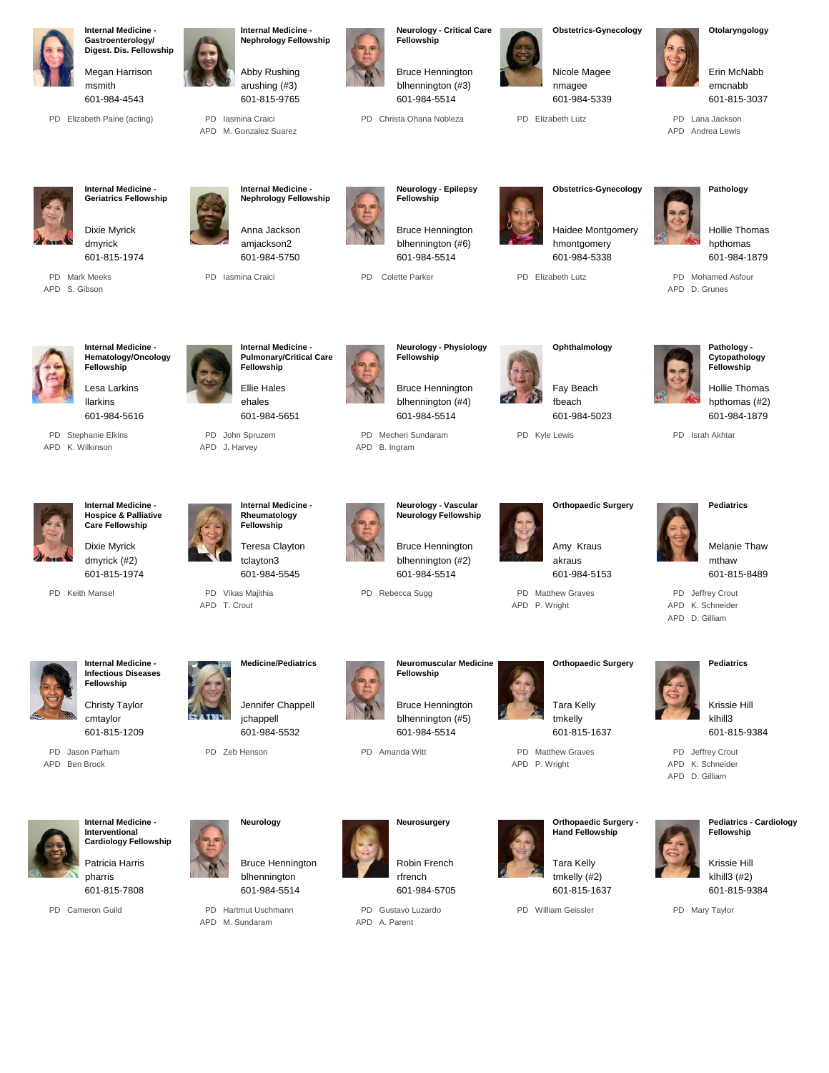

Dixie Myrick dmyrick (#2) 601-815-1974

PD Keith Mansel



**Internal Medicine - Infectious Diseases Fellowship**

cmtaylor 601-815-1209

> Patricia Harris pharris

> 601-815-7808

PD Cameron Guild

**Internal Medicine Interventional Cardiology Fellowship**

PD Jason Parham APD Ben Brock



PD Zeb Henson

PD Vikas Majithia APD T. Crout

**Neurology**

Bruce Hennington blhennington

601-984-5514

PD Hartmut Uschmann APD M. Sundaram

jchappell

Teresa Clayton tclayton3

601-984-5545



Bruce Hennington blhennington (#5) 601-984-5514

PD Amanda Witt

**Neurosurgery**

Bruce Hennington blhennington (#2)

**Neuromuscular Medicine**

601-984-5514

**Fellowship**

PD Rebecca Sugg

Robin French rfrench 601-984-5705

PD Gustavo Luzardo APD A. Parent

Tara Kelly tmkelly 601-815-1637

> PD Matthew Graves APD P. Wright

Amy Kraus akraus

601-984-5153

**Orthopaedic Surgery**

PD Matthew Graves APD P. Wright



Tara Kelly tmkelly (#2) 601-815-1637

PD William Geissler





Krissie Hill klhill3 (#2) 601-815-9384

PD Mary Taylor

APD K. Schneider APD D. Gilliam



Melanie Thaw mthaw

601-815-8489

PD Jeffrey Crout

klhill3 601-815-9384

Krissie Hill

PD Jeffrey Crout